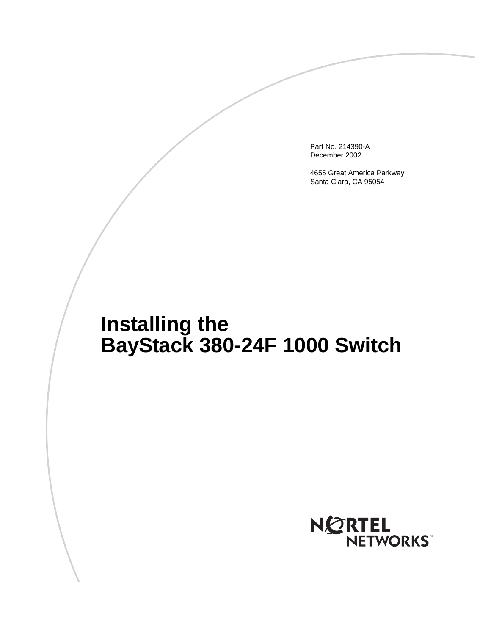Part No. 214390-A December 2002

4655 Great America Parkway Santa Clara, CA 95054

# **Installing the BayStack 380-24F 1000 Switch**

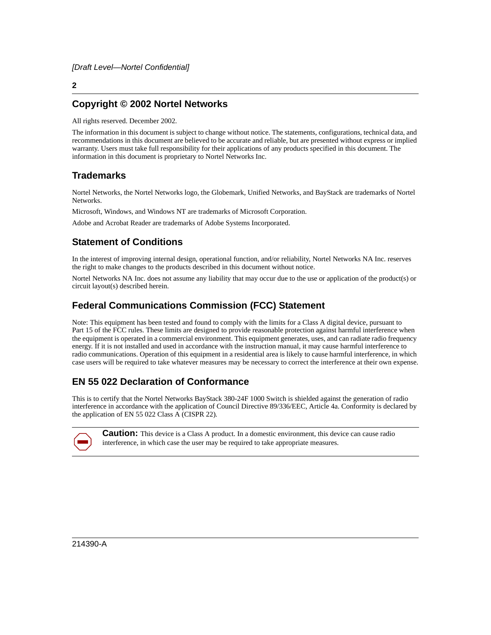#### **Copyright © 2002 Nortel Networks**

All rights reserved. December 2002.

The information in this document is subject to change without notice. The statements, configurations, technical data, and recommendations in this document are believed to be accurate and reliable, but are presented without express or implied warranty. Users must take full responsibility for their applications of any products specified in this document. The information in this document is proprietary to Nortel Networks Inc.

#### **Trademarks**

Nortel Networks, the Nortel Networks logo, the Globemark, Unified Networks, and BayStack are trademarks of Nortel Networks.

Microsoft, Windows, and Windows NT are trademarks of Microsoft Corporation.

Adobe and Acrobat Reader are trademarks of Adobe Systems Incorporated.

#### **Statement of Conditions**

In the interest of improving internal design, operational function, and/or reliability, Nortel Networks NA Inc. reserves the right to make changes to the products described in this document without notice.

Nortel Networks NA Inc. does not assume any liability that may occur due to the use or application of the product(s) or circuit layout(s) described herein.

#### **Federal Communications Commission (FCC) Statement**

Note: This equipment has been tested and found to comply with the limits for a Class A digital device, pursuant to Part 15 of the FCC rules. These limits are designed to provide reasonable protection against harmful interference when the equipment is operated in a commercial environment. This equipment generates, uses, and can radiate radio frequency energy. If it is not installed and used in accordance with the instruction manual, it may cause harmful interference to radio communications. Operation of this equipment in a residential area is likely to cause harmful interference, in which case users will be required to take whatever measures may be necessary to correct the interference at their own expense.

#### **EN 55 022 Declaration of Conformance**

This is to certify that the Nortel Networks BayStack 380-24F 1000 Switch is shielded against the generation of radio interference in accordance with the application of Council Directive 89/336/EEC, Article 4a. Conformity is declared by the application of EN 55 022 Class A (CISPR 22).



**Caution:** This device is a Class A product. In a domestic environment, this device can cause radio interference, in which case the user may be required to take appropriate measures.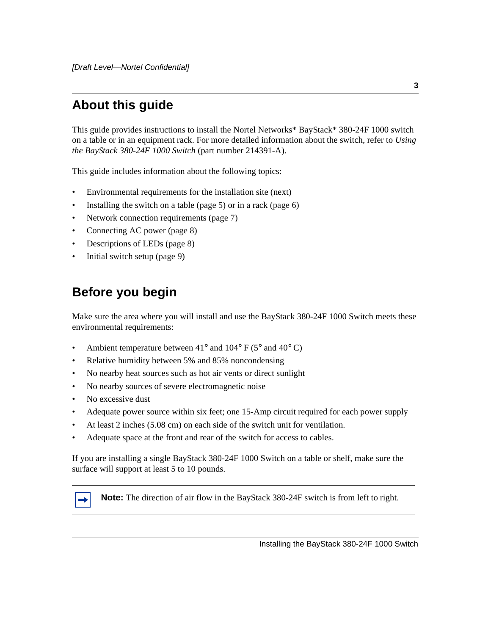# **About this guide**

This guide provides instructions to install the Nortel Networks\* BayStack\* 380-24F 1000 switch on a table or in an equipment rack. For more detailed information about the switch, refer to *Using the BayStack 380-24F 1000 Switch* (part number 214391-A).

This guide includes information about the following topics:

- Environmental requirements for the installation site (next)
- Installing the switch on a table ([page 5\)](#page-4-0) or in a rack [\(page 6](#page-5-0))
- Network connection requirements ([page 7\)](#page-6-0)
- Connecting AC power [\(page 8](#page-7-0))
- Descriptions of LEDs [\(page 8](#page-7-1))
- Initial switch setup ([page 9](#page-8-0))

### **Before you begin**

Make sure the area where you will install and use the BayStack 380-24F 1000 Switch meets these environmental requirements:

- Ambient temperature between  $41^{\circ}$  and  $104^{\circ}$  F (5° and  $40^{\circ}$  C)
- Relative humidity between 5% and 85% noncondensing
- No nearby heat sources such as hot air vents or direct sunlight
- No nearby sources of severe electromagnetic noise
- No excessive dust
- Adequate power source within six feet; one 15-Amp circuit required for each power supply
- At least 2 inches (5.08 cm) on each side of the switch unit for ventilation.
- Adequate space at the front and rear of the switch for access to cables.

If you are installing a single BayStack 380-24F 1000 Switch on a table or shelf, make sure the surface will support at least 5 to 10 pounds.



**Note:** The direction of air flow in the BayStack 380-24F switch is from left to right.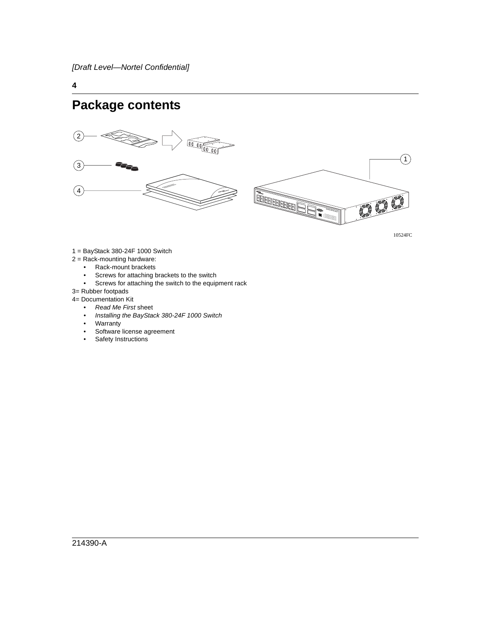### **Package contents**



10524FC

 $\left( \begin{matrix} 1 \end{matrix} \right)$ 

- 1 = BayStack 380-24F 1000 Switch
- 2 = Rack-mounting hardware:
	- Rack-mount brackets
	- Screws for attaching brackets to the switch<br>• Screws for attaching the switch to the equip
	- Screws for attaching the switch to the equipment rack
- 3= Rubber footpads
- 4= Documentation Kit
	- Read Me First sheet
	- Installing the BayStack 380-24F 1000 Switch
	- **Warranty**
	- Software license agreement
	- Safety Instructions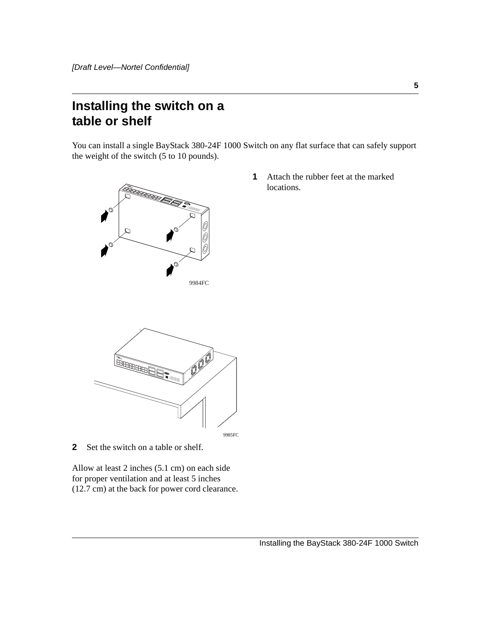# <span id="page-4-0"></span>**Installing the switch on a table or shelf**

You can install a single BayStack 380-24F 1000 Switch on any flat surface that can safely support the weight of the switch (5 to 10 pounds).



**1** Attach the rubber feet at the marked locations.



**2** Set the switch on a table or shelf.

Allow at least 2 inches (5.1 cm) on each side for proper ventilation and at least 5 inches (12.7 cm) at the back for power cord clearance.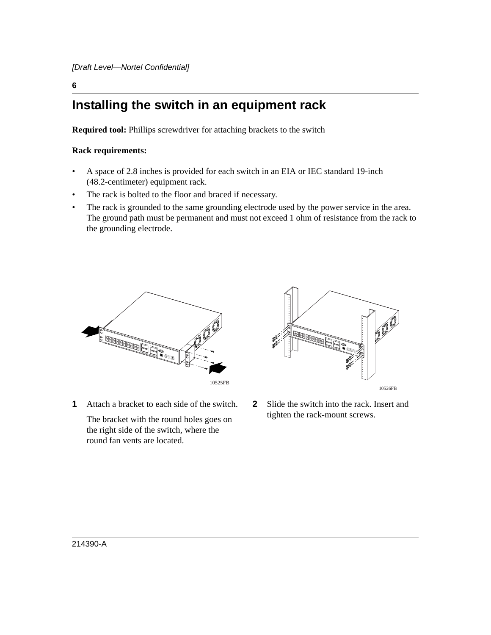# <span id="page-5-0"></span>**Installing the switch in an equipment rack**

**Required tool:** Phillips screwdriver for attaching brackets to the switch

#### **Rack requirements:**

- A space of 2.8 inches is provided for each switch in an EIA or IEC standard 19-inch (48.2-centimeter) equipment rack.
- The rack is bolted to the floor and braced if necessary.
- The rack is grounded to the same grounding electrode used by the power service in the area. The ground path must be permanent and must not exceed 1 ohm of resistance from the rack to the grounding electrode.



**1** Attach a bracket to each side of the switch.

The bracket with the round holes goes on the right side of the switch, where the round fan vents are located.



**2** Slide the switch into the rack. Insert and tighten the rack-mount screws.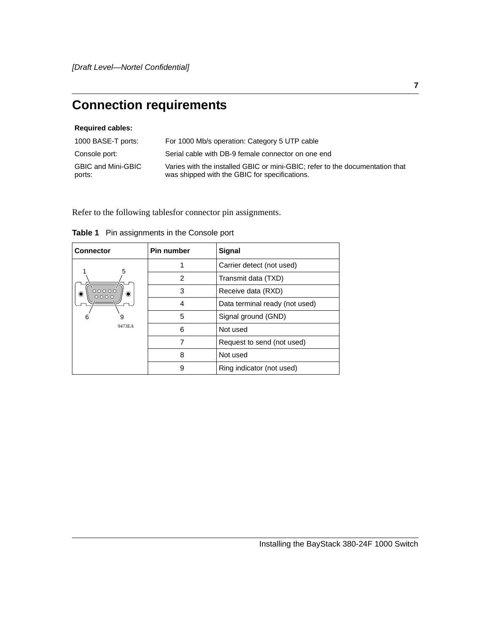# <span id="page-6-0"></span>**Connection requirements**

#### **Required cables:**

| 1000 BASE-T ports:           | For 1000 Mb/s operation: Category 5 UTP cable                                                                                 |
|------------------------------|-------------------------------------------------------------------------------------------------------------------------------|
| Console port:                | Serial cable with DB-9 female connector on one end                                                                            |
| GBIC and Mini-GBIC<br>ports: | Varies with the installed GBIC or mini-GBIC: refer to the documentation that<br>was shipped with the GBIC for specifications. |

Refer to the following tablesfor connector pin assignments.

| <b>Connector</b>        | Pin number | Signal                         |
|-------------------------|------------|--------------------------------|
| 5                       |            | Carrier detect (not used)      |
|                         | 2          | Transmit data (TXD)            |
| 00000<br>0000<br>◉<br>۰ | 3          | Receive data (RXD)             |
|                         | 4          | Data terminal ready (not used) |
| 6                       | 5          | Signal ground (GND)            |
| 9473EA                  | 6          | Not used                       |
|                         |            | Request to send (not used)     |
|                         | 8          | Not used                       |
|                         | 9          | Ring indicator (not used)      |

|  | Table 1 Pin assignments in the Console port |  |
|--|---------------------------------------------|--|
|--|---------------------------------------------|--|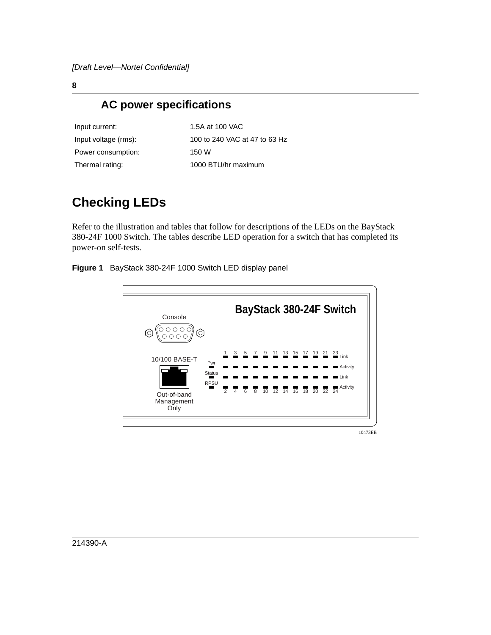### **AC power specifications**

<span id="page-7-0"></span>

| Input current:       |
|----------------------|
| Input voltage (rms): |
| Power consumption:   |
| Thermal rating:      |

1.5A at 100 VAC 100 to 240 VAC at 47 to 63 Hz  $150W$ 1000 BTU/hr maximum

# <span id="page-7-1"></span>**Checking LEDs**

Refer to the illustration and tables that follow for descriptions of the LEDs on the BayStack 380-24F 1000 Switch. The tables describe LED operation for a switch that has completed its power-on self-tests.





10473EB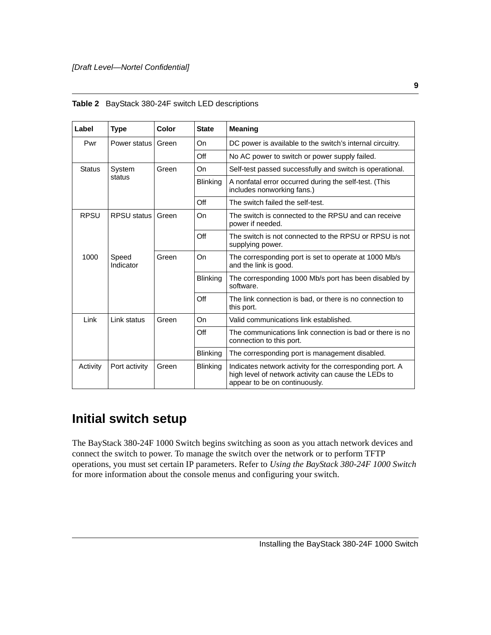|  | <b>Table 2</b> BayStack 380-24F switch LED descriptions |  |
|--|---------------------------------------------------------|--|
|--|---------------------------------------------------------|--|

| Label         | <b>Type</b>         | Color | <b>State</b>    | <b>Meaning</b>                                                                                                                                    |
|---------------|---------------------|-------|-----------------|---------------------------------------------------------------------------------------------------------------------------------------------------|
| Pwr           | Power status I      | Green | On              | DC power is available to the switch's internal circuitry.                                                                                         |
|               |                     |       | Off             | No AC power to switch or power supply failed.                                                                                                     |
| <b>Status</b> | System<br>status    | Green | On              | Self-test passed successfully and switch is operational.                                                                                          |
|               |                     |       | <b>Blinking</b> | A nonfatal error occurred during the self-test. (This<br>includes nonworking fans.)                                                               |
|               |                     |       | Off             | The switch failed the self-test.                                                                                                                  |
| <b>RPSU</b>   | RPSU status   Green |       | On              | The switch is connected to the RPSU and can receive<br>power if needed.                                                                           |
|               |                     |       | Off             | The switch is not connected to the RPSU or RPSU is not<br>supplying power.                                                                        |
| 1000          | Speed<br>Indicator  | Green | On              | The corresponding port is set to operate at 1000 Mb/s<br>and the link is good.                                                                    |
|               |                     |       | <b>Blinking</b> | The corresponding 1000 Mb/s port has been disabled by<br>software.                                                                                |
|               |                     |       | Off             | The link connection is bad, or there is no connection to<br>this port.                                                                            |
| Link          | Link status         | Green | On              | Valid communications link established.                                                                                                            |
|               |                     |       | Off             | The communications link connection is bad or there is no<br>connection to this port.                                                              |
|               |                     |       | <b>Blinking</b> | The corresponding port is management disabled.                                                                                                    |
| Activity      | Port activity       | Green | <b>Blinking</b> | Indicates network activity for the corresponding port. A<br>high level of network activity can cause the LEDs to<br>appear to be on continuously. |

# <span id="page-8-0"></span>**Initial switch setup**

The BayStack 380-24F 1000 Switch begins switching as soon as you attach network devices and connect the switch to power. To manage the switch over the network or to perform TFTP operations, you must set certain IP parameters. Refer to *Using the BayStack 380-24F 1000 Switch* for more information about the console menus and configuring your switch.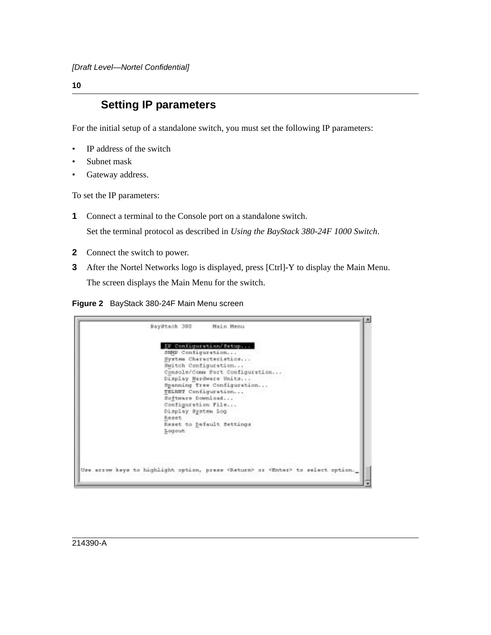### **Setting IP parameters**

For the initial setup of a standalone switch, you must set the following IP parameters:

- IP address of the switch
- Subnet mask
- Gateway address.

To set the IP parameters:

**1** Connect a terminal to the Console port on a standalone switch.

Set the terminal protocol as described in *Using the BayStack 380-24F 1000 Switch*.

- **2** Connect the switch to power.
- **3** After the Nortel Networks logo is displayed, press [Ctrl]-Y to display the Main Menu. The screen displays the Main Menu for the switch.

**Figure 2** BayStack 380-24F Main Menu screen

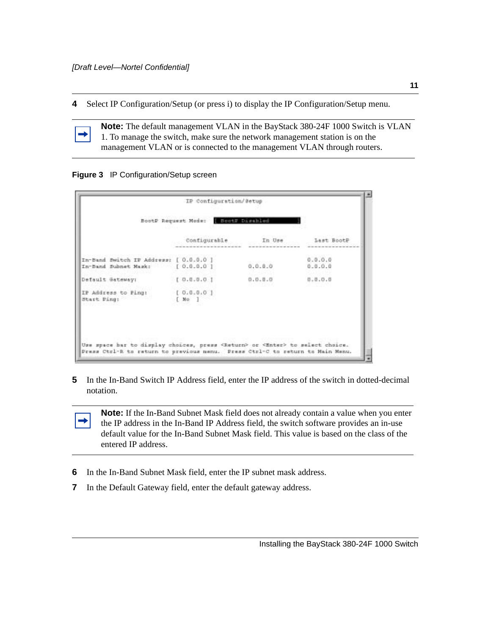**4** Select IP Configuration/Setup (or press i) to display the IP Configuration/Setup menu.

**Note:** The default management VLAN in the BayStack 380-24F 1000 Switch is VLAN 1. To manage the switch, make sure the network management station is on the management VLAN or is connected to the management VLAN through routers.

#### **Figure 3** IP Configuration/Setup screen

|                                                                            | BootP Request Mode: BootP Dischled |         |                    |
|----------------------------------------------------------------------------|------------------------------------|---------|--------------------|
|                                                                            | Configurable                       | In Use  | Last BootP         |
| In-Band Bwitch IF Address: [ 0.0.0.0 ]<br>In-Band Subnet Mask: [ 0.0.0.0 ] |                                    | 0.0.0.0 | 0.0.0.0<br>0.0.0.0 |
| Default Gateway:                                                           | 1.0.0.0.0.1                        | 0.0.0.0 | 0.0.0.0            |
| IP Address to Ping: [ 0.0.0.0 ]<br>Start Ping:                             | $\sqrt{N}$                         |         |                    |

**5** In the In-Band Switch IP Address field, enter the IP address of the switch in dotted-decimal notation.

**Note:** If the In-Band Subnet Mask field does not already contain a value when you enter the IP address in the In-Band IP Address field, the switch software provides an in-use default value for the In-Band Subnet Mask field. This value is based on the class of the entered IP address.

- **6** In the In-Band Subnet Mask field, enter the IP subnet mask address.
- **7** In the Default Gateway field, enter the default gateway address.